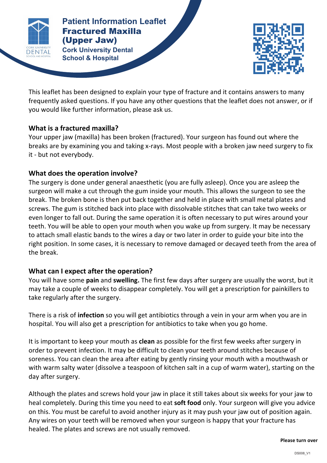

**Patients Patient Information Leaflet** Fractured Maxilla (Upper Jaw) **Cork University Dental** 

**School & Hospital**



This leaflet has been designed to explain your type of fracture and it contains answers to many frequently asked questions. If you have any other questions that the leaflet does not answer, or if you would like further information, please ask us.

**FRACTURE DISTURBANCE** 

## **What is a fractured maxilla?**

Your upper jaw (maxilla) has been broken (fractured). Your surgeon has found out where the breaks are by examining you and taking x-rays. Most people with a broken jaw need surgery to fix it - but not everybody.

# What does the operation involve?

The surgery is done under general anaesthetic (you are fully asleep). Once you are asleep the surgeon will make a cut through the gum inside your mouth. This allows the surgeon to see the break. The broken bone is then put back together and held in place with small metal plates and screws. The gum is stitched back into place with dissolvable stitches that can take two weeks or even longer to fall out. During the same operation it is often necessary to put wires around your teeth. You will be able to open your mouth when you wake up from surgery. It may be necessary to attach small elastic bands to the wires a day or two later in order to guide your bite into the right position. In some cases, it is necessary to remove damaged or decayed teeth from the area of the break.

## What can I expect after the operation?

You will have some **pain** and **swelling.** The first few days after surgery are usually the worst, but it may take a couple of weeks to disappear completely. You will get a prescription for painkillers to take regularly after the surgery.

There is a risk of **infection** so you will get antibiotics through a vein in your arm when you are in hospital. You will also get a prescription for antibiotics to take when you go home.

It is important to keep your mouth as **clean** as possible for the first few weeks after surgery in order to prevent infection. It may be difficult to clean your teeth around stitches because of soreness. You can clean the area after eating by gently rinsing your mouth with a mouthwash or with warm salty water (dissolve a teaspoon of kitchen salt in a cup of warm water), starting on the day after surgery.

Although the plates and screws hold your jaw in place it still takes about six weeks for your jaw to heal completely. During this time you need to eat **soft food** only. Your surgeon will give you advice on this. You must be careful to avoid another injury as it may push your jaw out of position again. Any wires on your teeth will be removed when your surgeon is happy that your fracture has healed. The plates and screws are not usually removed.